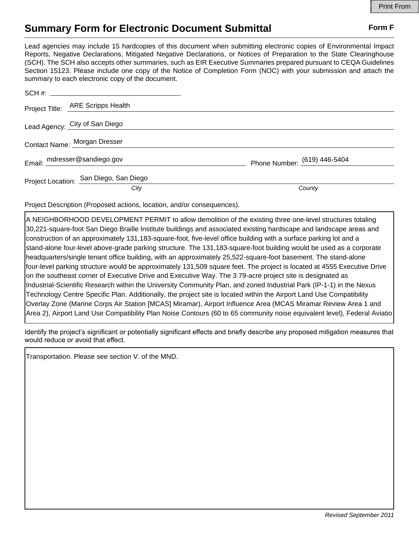## **Summary Form for Electronic Document Submittal Form F Form F**

Lead agencies may include 15 hardcopies of this document when submitting electronic copies of Environmental Impact Reports, Negative Declarations, Mitigated Negative Declarations, or Notices of Preparation to the State Clearinghouse (SCH). The SCH also accepts other summaries, such as EIR Executive Summaries prepared pursuant to CEQA Guidelines Section 15123. Please include one copy of the Notice of Completion Form (NOC) with your submission and attach the summary to each electronic copy of the document.

|  | Project Title: ARE Scripps Health      |                              |
|--|----------------------------------------|------------------------------|
|  | Lead Agency: City of San Diego         |                              |
|  | Contact Name: Morgan Dresser           |                              |
|  | Email: mdresser@sandiego.gov           | Phone Number: (619) 446-5404 |
|  | Project Location: San Diego, San Diego |                              |
|  | City                                   | County                       |

Project Description (Proposed actions, location, and/or consequences).

A NEIGHBORHOOD DEVELOPMENT PERMIT to allow demolition of the existing three one-level structures totaling 30,221-square-foot San Diego Braille Institute buildings and associated existing hardscape and landscape areas and construction of an approximately 131,183-square-foot, five-level office building with a surface parking lot and a stand-alone four-level above-grade parking structure. The 131,183-square-foot building would be used as a corporate headquarters/single tenant office building, with an approximately 25,522-square-foot basement. The stand-alone four-level parking structure would be approximately 131,509 square feet. The project is located at 4555 Executive Drive on the southeast corner of Executive Drive and Executive Way. The 3.79-acre project site is designated as Industrial-Scientific Research within the University Community Plan, and zoned Industrial Park (IP-1-1) in the Nexus Technology Centre Specific Plan. Additionally, the project site is located within the Airport Land Use Compatibility Overlay Zone (Marine Corps Air Station [MCAS] Miramar), Airport Influence Area (MCAS Miramar Review Area 1 and Area 2), Airport Land Use Compatibility Plan Noise Contours (60 to 65 community noise equivalent level), Federal Aviatio

Identify the project's significant or potentially significant effects and briefly describe any proposed mitigation measures that would reduce or avoid that effect.

Transportation. Please see section V. of the MND.